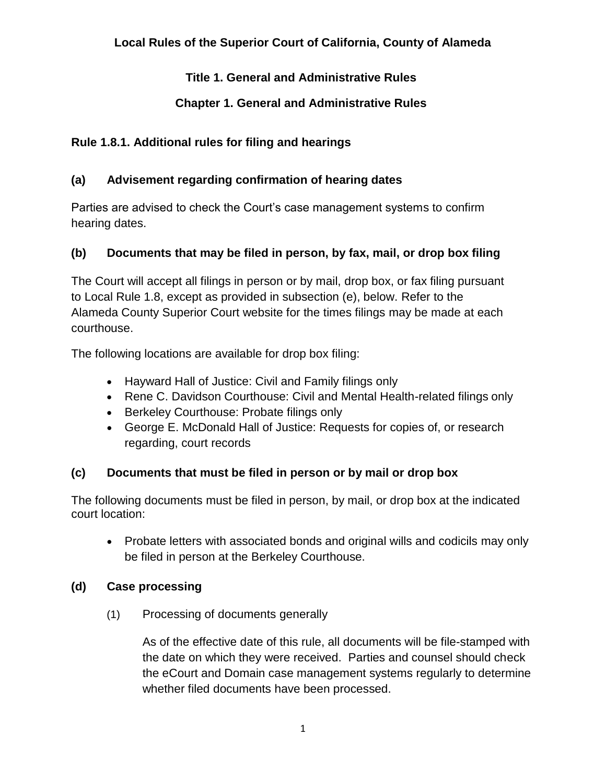# **Title 1. General and Administrative Rules**

# **Chapter 1. General and Administrative Rules**

## **Rule 1.8.1. Additional rules for filing and hearings**

## **(a) Advisement regarding confirmation of hearing dates**

Parties are advised to check the Court's case management systems to confirm hearing dates.

## **(b) Documents that may be filed in person, by fax, mail, or drop box filing**

The Court will accept all filings in person or by mail, drop box, or fax filing pursuant to Local Rule 1.8, except as provided in subsection (e), below. Refer to the Alameda County Superior Court website for the times filings may be made at each courthouse.

The following locations are available for drop box filing:

- Hayward Hall of Justice: Civil and Family filings only
- Rene C. Davidson Courthouse: Civil and Mental Health-related filings only
- Berkeley Courthouse: Probate filings only
- George E. McDonald Hall of Justice: Requests for copies of, or research regarding, court records

## **(c) Documents that must be filed in person or by mail or drop box**

The following documents must be filed in person, by mail, or drop box at the indicated court location:

• Probate letters with associated bonds and original wills and codicils may only be filed in person at the Berkeley Courthouse.

## **(d) Case processing**

(1) Processing of documents generally

As of the effective date of this rule, all documents will be file-stamped with the date on which they were received. Parties and counsel should check the eCourt and Domain case management systems regularly to determine whether filed documents have been processed.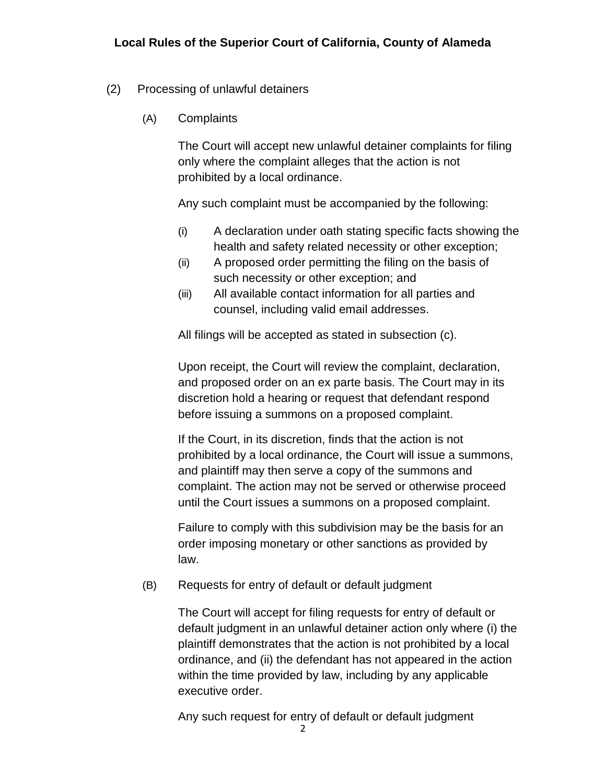#### (2) Processing of unlawful detainers

(A) Complaints

The Court will accept new unlawful detainer complaints for filing only where the complaint alleges that the action is not prohibited by a local ordinance.

Any such complaint must be accompanied by the following:

- (i) A declaration under oath stating specific facts showing the health and safety related necessity or other exception;
- (ii) A proposed order permitting the filing on the basis of such necessity or other exception; and
- (iii) All available contact information for all parties and counsel, including valid email addresses.

All filings will be accepted as stated in subsection (c).

Upon receipt, the Court will review the complaint, declaration, and proposed order on an ex parte basis. The Court may in its discretion hold a hearing or request that defendant respond before issuing a summons on a proposed complaint.

If the Court, in its discretion, finds that the action is not prohibited by a local ordinance, the Court will issue a summons, and plaintiff may then serve a copy of the summons and complaint. The action may not be served or otherwise proceed until the Court issues a summons on a proposed complaint.

Failure to comply with this subdivision may be the basis for an order imposing monetary or other sanctions as provided by law.

#### (B) Requests for entry of default or default judgment

The Court will accept for filing requests for entry of default or default judgment in an unlawful detainer action only where (i) the plaintiff demonstrates that the action is not prohibited by a local ordinance, and (ii) the defendant has not appeared in the action within the time provided by law, including by any applicable executive order.

Any such request for entry of default or default judgment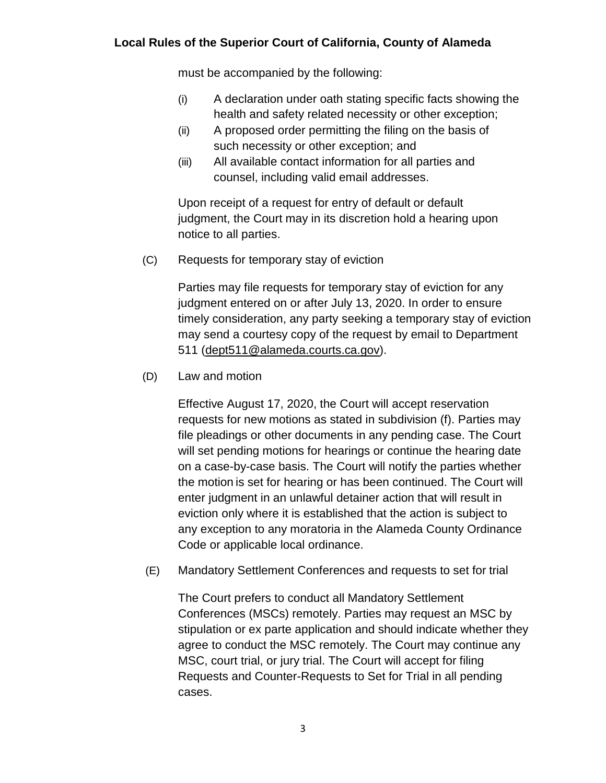must be accompanied by the following:

- (i) A declaration under oath stating specific facts showing the health and safety related necessity or other exception;
- (ii) A proposed order permitting the filing on the basis of such necessity or other exception; and
- (iii) All available contact information for all parties and counsel, including valid email addresses.

Upon receipt of a request for entry of default or default judgment, the Court may in its discretion hold a hearing upon notice to all parties.

(C) Requests for temporary stay of eviction

Parties may file requests for temporary stay of eviction for any judgment entered on or after July 13, 2020. In order to ensure timely consideration, any party seeking a temporary stay of eviction may send a courtesy copy of the request by email to Department 511 [\(dept511@alameda.courts.ca.gov\)](mailto:dept511@alameda.courts.ca.gov).

(D) Law and motion

Effective August 17, 2020, the Court will accept reservation requests for new motions as stated in subdivision (f). Parties may file pleadings or other documents in any pending case. The Court will set pending motions for hearings or continue the hearing date on a case-by-case basis. The Court will notify the parties whether the motion is set for hearing or has been continued. The Court will enter judgment in an unlawful detainer action that will result in eviction only where it is established that the action is subject to any exception to any moratoria in the Alameda County Ordinance Code or applicable local ordinance.

(E) Mandatory Settlement Conferences and requests to set for trial

The Court prefers to conduct all Mandatory Settlement Conferences (MSCs) remotely. Parties may request an MSC by stipulation or ex parte application and should indicate whether they agree to conduct the MSC remotely. The Court may continue any MSC, court trial, or jury trial. The Court will accept for filing Requests and Counter-Requests to Set for Trial in all pending cases.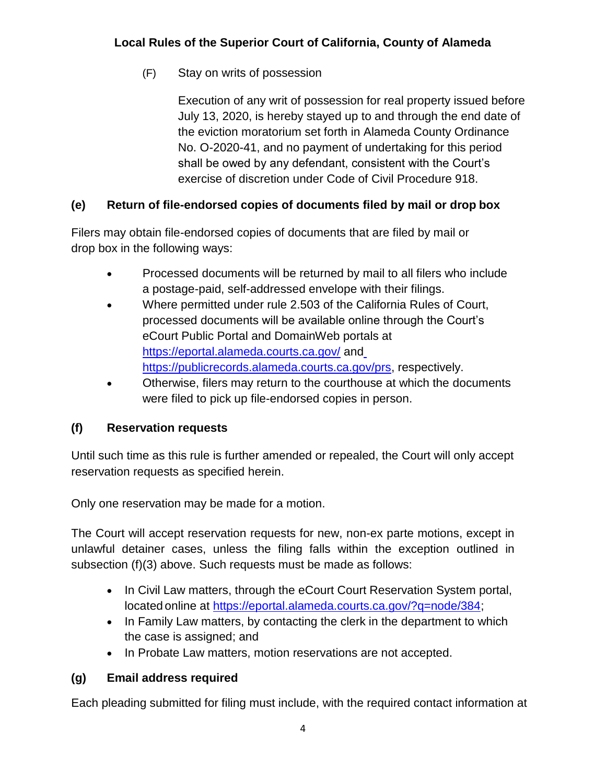(F) Stay on writs of possession

Execution of any writ of possession for real property issued before July 13, 2020, is hereby stayed up to and through the end date of the eviction moratorium set forth in Alameda County Ordinance No. O-2020-41, and no payment of undertaking for this period shall be owed by any defendant, consistent with the Court's exercise of discretion under Code of Civil Procedure 918.

# **(e) Return of file-endorsed copies of documents filed by mail or drop box**

Filers may obtain file-endorsed copies of documents that are filed by mail or drop box in the following ways:

- Processed documents will be returned by mail to all filers who include a postage-paid, self-addressed envelope with their filings.
- Where permitted under rule 2.503 of the California Rules of Court, processed documents will be available online through the Court's eCourt Public Portal and DomainWeb portals at <https://eportal.alameda.courts.ca.gov/> an[d](https://publicrecords.alameda.courts.ca.gov/prs) [https://publicrecords.alameda.courts.ca.gov/prs,](https://publicrecords.alameda.courts.ca.gov/prs) respectively.
- Otherwise, filers may return to the courthouse at which the documents were filed to pick up file-endorsed copies in person.

# **(f) Reservation requests**

Until such time as this rule is further amended or repealed, the Court will only accept reservation requests as specified herein.

Only one reservation may be made for a motion.

The Court will accept reservation requests for new, non-ex parte motions, except in unlawful detainer cases, unless the filing falls within the exception outlined in subsection (f)(3) above. Such requests must be made as follows:

- In Civil Law matters, through the eCourt Court Reservation System portal, located online at [https://eportal.alameda.courts.ca.gov/?q=node/384;](https://eportal.alameda.courts.ca.gov/?q=node/384)
- In Family Law matters, by contacting the clerk in the department to which the case is assigned; and
- In Probate Law matters, motion reservations are not accepted.

# **(g) Email address required**

Each pleading submitted for filing must include, with the required contact information at